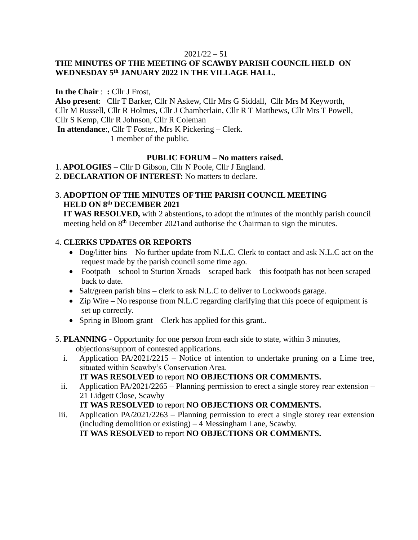#### $2021/22 - 51$

# **THE MINUTES OF THE MEETING OF SCAWBY PARISH COUNCIL HELD ON WEDNESDAY 5 th JANUARY 2022 IN THE VILLAGE HALL.**

**In the Chair** : **:** Cllr J Frost, **Also present**: Cllr T Barker, Cllr N Askew, Cllr Mrs G Siddall, Cllr Mrs M Keyworth, Cllr M Russell, Cllr R Holmes, Cllr J Chamberlain, Cllr R T Matthews, Cllr Mrs T Powell, Cllr S Kemp, Cllr R Johnson, Cllr R Coleman **In attendance**:, Cllr T Foster., Mrs K Pickering – Clerk. 1 member of the public.

### **PUBLIC FORUM – No matters raised.**

1. **APOLOGIES** – Cllr D Gibson, Cllr N Poole, Cllr J England.

2. **DECLARATION OF INTEREST:** No matters to declare.

# 3. **ADOPTION OF THE MINUTES OF THE PARISH COUNCIL MEETING HELD ON 8 th DECEMBER 2021**

 **IT WAS RESOLVED,** with 2 abstentions**,** to adopt the minutes of the monthly parish council meeting held on 8<sup>th</sup> December 2021and authorise the Chairman to sign the minutes.

## 4. **CLERKS UPDATES OR REPORTS**

- Dog/litter bins No further update from N.L.C. Clerk to contact and ask N.L.C act on the request made by the parish council some time ago.
- Footpath school to Sturton Xroads scraped back this footpath has not been scraped back to date.
- Salt/green parish bins clerk to ask N.L.C to deliver to Lockwoods garage.
- Zip Wire No response from N.L.C regarding clarifying that this poece of equipment is set up correctly.
- Spring in Bloom grant Clerk has applied for this grant..
- 5. **PLANNING -** Opportunity for one person from each side to state, within 3 minutes, objections/support of contested applications.
	- i. Application PA/2021/2215 Notice of intention to undertake pruning on a Lime tree, situated within Scawby's Conservation Area.

# **IT WAS RESOLVED** to report **NO OBJECTIONS OR COMMENTS.**

ii. Application PA/2021/2265 – Planning permission to erect a single storey rear extension – 21 Lidgett Close, Scawby

# **IT WAS RESOLVED** to report **NO OBJECTIONS OR COMMENTS.**

iii. Application PA/2021/2263 – Planning permission to erect a single storey rear extension (including demolition or existing) – 4 Messingham Lane, Scawby.

**IT WAS RESOLVED** to report **NO OBJECTIONS OR COMMENTS.**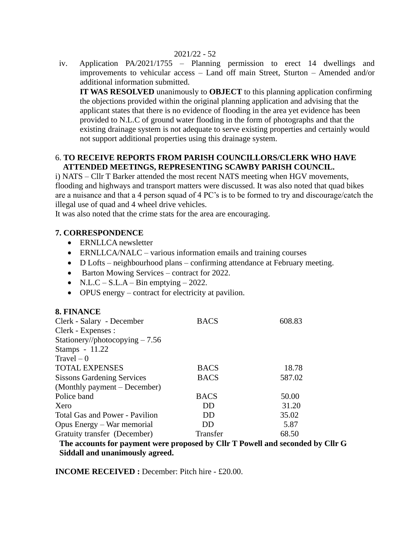#### 2021/22 - 52

iv. Application PA/2021/1755 – Planning permission to erect 14 dwellings and improvements to vehicular access – Land off main Street, Sturton – Amended and/or additional information submitted.

**IT WAS RESOLVED** unanimously to **OBJECT** to this planning application confirming the objections provided within the original planning application and advising that the applicant states that there is no evidence of flooding in the area yet evidence has been provided to N.L.C of ground water flooding in the form of photographs and that the existing drainage system is not adequate to serve existing properties and certainly would not support additional properties using this drainage system.

### 6. **TO RECEIVE REPORTS FROM PARISH COUNCILLORS/CLERK WHO HAVE ATTENDED MEETINGS, REPRESENTING SCAWBY PARISH COUNCIL.**

i) NATS – Cllr T Barker attended the most recent NATS meeting when HGV movements, flooding and highways and transport matters were discussed. It was also noted that quad bikes are a nuisance and that a 4 person squad of 4 PC's is to be formed to try and discourage/catch the illegal use of quad and 4 wheel drive vehicles.

It was also noted that the crime stats for the area are encouraging.

### **7. CORRESPONDENCE**

**8. FINANCE**

- ERNLLCA newsletter
- ERNLLCA/NALC various information emails and training courses
- D Lofts neighbourhood plans confirming attendance at February meeting.
- Barton Mowing Services contract for 2022.
- N.L.C S.L.A Bin emptying 2022.
- OPUS energy contract for electricity at pavilion.

| 8. FINANCE                        |             |        |
|-----------------------------------|-------------|--------|
| Clerk - Salary - December         | <b>BACS</b> | 608.83 |
| Clerk - Expenses :                |             |        |
| Stationery//photocopying $-7.56$  |             |        |
| Stamps - 11.22                    |             |        |
| $Travel - 0$                      |             |        |
| <b>TOTAL EXPENSES</b>             | <b>BACS</b> | 18.78  |
| <b>Sissons Gardening Services</b> | <b>BACS</b> | 587.02 |
| (Monthly payment – December)      |             |        |
| Police band                       | <b>BACS</b> | 50.00  |
| Xero                              | DD          | 31.20  |
| Total Gas and Power - Pavilion    | <b>DD</b>   | 35.02  |
| Opus Energy – War memorial        | DD          | 5.87   |
| Gratuity transfer (December)      | Transfer    | 68.50  |
|                                   |             |        |

#### **The accounts for payment were proposed by Cllr T Powell and seconded by Cllr G Siddall and unanimously agreed.**

**INCOME RECEIVED :** December: Pitch hire - £20.00.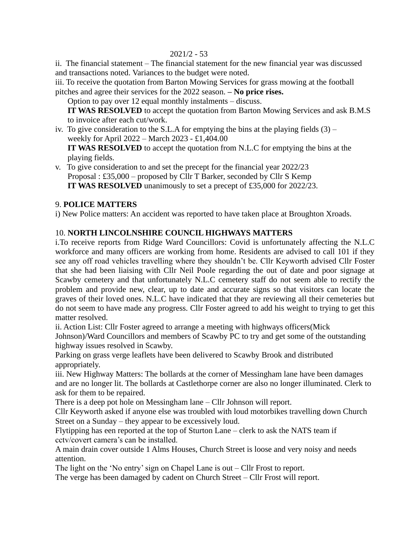### 2021/2 - 53

ii. The financial statement – The financial statement for the new financial year was discussed and transactions noted. Variances to the budget were noted.

iii. To receive the quotation from Barton Mowing Services for grass mowing at the football pitches and agree their services for the 2022 season. **– No price rises.**

Option to pay over 12 equal monthly instalments – discuss. **IT WAS RESOLVED** to accept the quotation from Barton Mowing Services and ask B.M.S to invoice after each cut/work.

- iv. To give consideration to the S.L.A for emptying the bins at the playing fields  $(3)$  weekly for April 2022 – March 2023 - £1,404.00  **IT WAS RESOLVED** to accept the quotation from N.L.C for emptying the bins at the playing fields.
- v. To give consideration to and set the precept for the financial year 2022/23 Proposal : £35,000 – proposed by Cllr T Barker, seconded by Cllr S Kemp  **IT WAS RESOLVED** unanimously to set a precept of £35,000 for 2022/23.

# 9. **POLICE MATTERS**

i) New Police matters: An accident was reported to have taken place at Broughton Xroads.

# 10. **NORTH LINCOLNSHIRE COUNCIL HIGHWAYS MATTERS**

i.To receive reports from Ridge Ward Councillors: Covid is unfortunately affecting the N.L.C workforce and many officers are working from home. Residents are advised to call 101 if they see any off road vehicles travelling where they shouldn't be. Cllr Keyworth advised Cllr Foster that she had been liaising with Cllr Neil Poole regarding the out of date and poor signage at Scawby cemetery and that unfortunately N.L.C cemetery staff do not seem able to rectify the problem and provide new, clear, up to date and accurate signs so that visitors can locate the graves of their loved ones. N.L.C have indicated that they are reviewing all their cemeteries but do not seem to have made any progress. Cllr Foster agreed to add his weight to trying to get this matter resolved.

ii. Action List: Cllr Foster agreed to arrange a meeting with highways officers(Mick

Johnson)/Ward Councillors and members of Scawby PC to try and get some of the outstanding highway issues resolved in Scawby.

Parking on grass verge leaflets have been delivered to Scawby Brook and distributed appropriately.

iii. New Highway Matters: The bollards at the corner of Messingham lane have been damages and are no longer lit. The bollards at Castlethorpe corner are also no longer illuminated. Clerk to ask for them to be repaired.

There is a deep pot hole on Messingham lane – Cllr Johnson will report.

Cllr Keyworth asked if anyone else was troubled with loud motorbikes travelling down Church Street on a Sunday – they appear to be excessively loud.

Flytipping has een reported at the top of Sturton Lane – clerk to ask the NATS team if cctv/covert camera's can be installed.

A main drain cover outside 1 Alms Houses, Church Street is loose and very noisy and needs attention.

The light on the 'No entry' sign on Chapel Lane is out – Cllr Frost to report.

The verge has been damaged by cadent on Church Street – Cllr Frost will report.